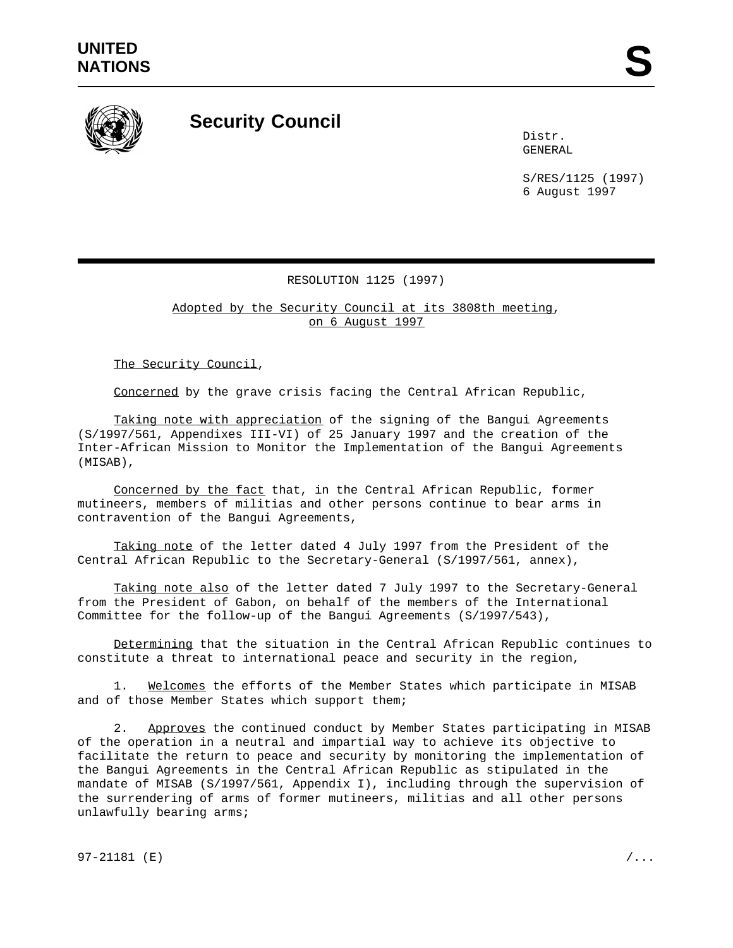

## **Security Council**

Distr. GENERAL

S/RES/1125 (1997) 6 August 1997

## RESOLUTION 1125 (1997)

Adopted by the Security Council at its 3808th meeting, on 6 August 1997

The Security Council,

Concerned by the grave crisis facing the Central African Republic,

Taking note with appreciation of the signing of the Bangui Agreements (S/1997/561, Appendixes III-VI) of 25 January 1997 and the creation of the Inter-African Mission to Monitor the Implementation of the Bangui Agreements (MISAB),

Concerned by the fact that, in the Central African Republic, former mutineers, members of militias and other persons continue to bear arms in contravention of the Bangui Agreements,

Taking note of the letter dated 4 July 1997 from the President of the Central African Republic to the Secretary-General (S/1997/561, annex),

Taking note also of the letter dated 7 July 1997 to the Secretary-General from the President of Gabon, on behalf of the members of the International Committee for the follow-up of the Bangui Agreements (S/1997/543),

Determining that the situation in the Central African Republic continues to constitute a threat to international peace and security in the region,

1. Welcomes the efforts of the Member States which participate in MISAB and of those Member States which support them;

2. Approves the continued conduct by Member States participating in MISAB of the operation in a neutral and impartial way to achieve its objective to facilitate the return to peace and security by monitoring the implementation of the Bangui Agreements in the Central African Republic as stipulated in the mandate of MISAB (S/1997/561, Appendix I), including through the supervision of the surrendering of arms of former mutineers, militias and all other persons unlawfully bearing arms;

97-21181 (E)  $/$ ...